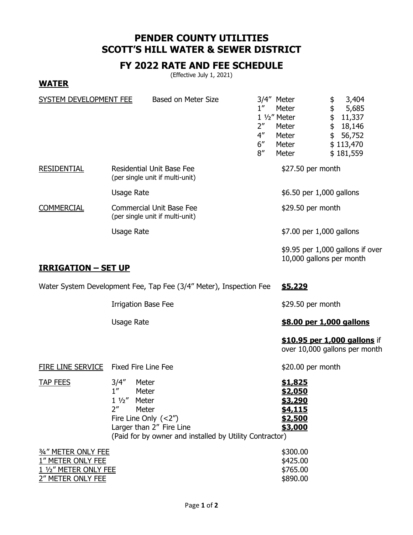## **PENDER COUNTY UTILITIES SCOTT'S HILL WATER & SEWER DISTRICT**

## **FY 2022 RATE AND FEE SCHEDULE**

(Effective July 1, 2021)

**WATER**

| SYSTEM DEVELOPMENT FEE                                                                 | <b>Based on Meter Size</b>                                                                                                                                                                                          | $1^{\prime\prime}$<br>2 <sup>''</sup><br>$4^{\prime\prime}$<br>6''<br>8'' | 3/4" Meter<br>Meter<br>1 1/2" Meter<br>Meter<br>Meter<br>Meter<br>Meter                    | \$<br>3,404<br>\$<br>\$<br>5,685<br>11,337<br>\$<br>18,146<br>\$<br>56,752<br>\$113,470<br>\$181,559 |
|----------------------------------------------------------------------------------------|---------------------------------------------------------------------------------------------------------------------------------------------------------------------------------------------------------------------|---------------------------------------------------------------------------|--------------------------------------------------------------------------------------------|------------------------------------------------------------------------------------------------------|
| <b>RESIDENTIAL</b>                                                                     | Residential Unit Base Fee<br>(per single unit if multi-unit)                                                                                                                                                        |                                                                           | \$27.50 per month                                                                          |                                                                                                      |
|                                                                                        | <b>Usage Rate</b>                                                                                                                                                                                                   |                                                                           | \$6.50 per 1,000 gallons                                                                   |                                                                                                      |
| <b>COMMERCIAL</b>                                                                      | <b>Commercial Unit Base Fee</b><br>(per single unit if multi-unit)                                                                                                                                                  |                                                                           | \$29.50 per month                                                                          |                                                                                                      |
|                                                                                        | <b>Usage Rate</b>                                                                                                                                                                                                   |                                                                           | \$7.00 per 1,000 gallons                                                                   |                                                                                                      |
| <u> IRRIGATION – SET UP</u>                                                            |                                                                                                                                                                                                                     |                                                                           | 10,000 gallons per month                                                                   | $$9.95$ per 1,000 gallons if over                                                                    |
|                                                                                        |                                                                                                                                                                                                                     |                                                                           |                                                                                            |                                                                                                      |
| Water System Development Fee, Tap Fee (3/4" Meter), Inspection Fee<br>\$5,229          |                                                                                                                                                                                                                     |                                                                           |                                                                                            |                                                                                                      |
|                                                                                        | <b>Irrigation Base Fee</b>                                                                                                                                                                                          |                                                                           | \$29.50 per month                                                                          |                                                                                                      |
|                                                                                        | <b>Usage Rate</b>                                                                                                                                                                                                   |                                                                           | \$8.00 per 1,000 gallons                                                                   |                                                                                                      |
|                                                                                        |                                                                                                                                                                                                                     |                                                                           |                                                                                            | \$10.95 per 1,000 gallons if<br>over 10,000 gallons per month                                        |
| FIRE LINE SERVICE                                                                      | <b>Fixed Fire Line Fee</b>                                                                                                                                                                                          |                                                                           | \$20.00 per month                                                                          |                                                                                                      |
| <b>TAP FEES</b>                                                                        | 3/4''<br>Meter<br>1 <sup>''</sup><br>Meter<br>$1\frac{1}{2}$<br>Meter<br>2 <sup>''</sup><br>Meter<br>Fire Line Only $(<2'')$<br>Larger than 2" Fire Line<br>(Paid for by owner and installed by Utility Contractor) |                                                                           | <u>\$1,825</u><br><u>\$2,050</u><br><u>\$3,290</u><br><u>\$4,115</u><br>\$2,500<br>\$3,000 |                                                                                                      |
| 3/4" METER ONLY FEE<br>1" METER ONLY FEE<br>1 1/2" METER ONLY FEE<br>2" METER ONLY FEE |                                                                                                                                                                                                                     |                                                                           | \$300.00<br>\$425.00<br>\$765.00<br>\$890.00                                               |                                                                                                      |